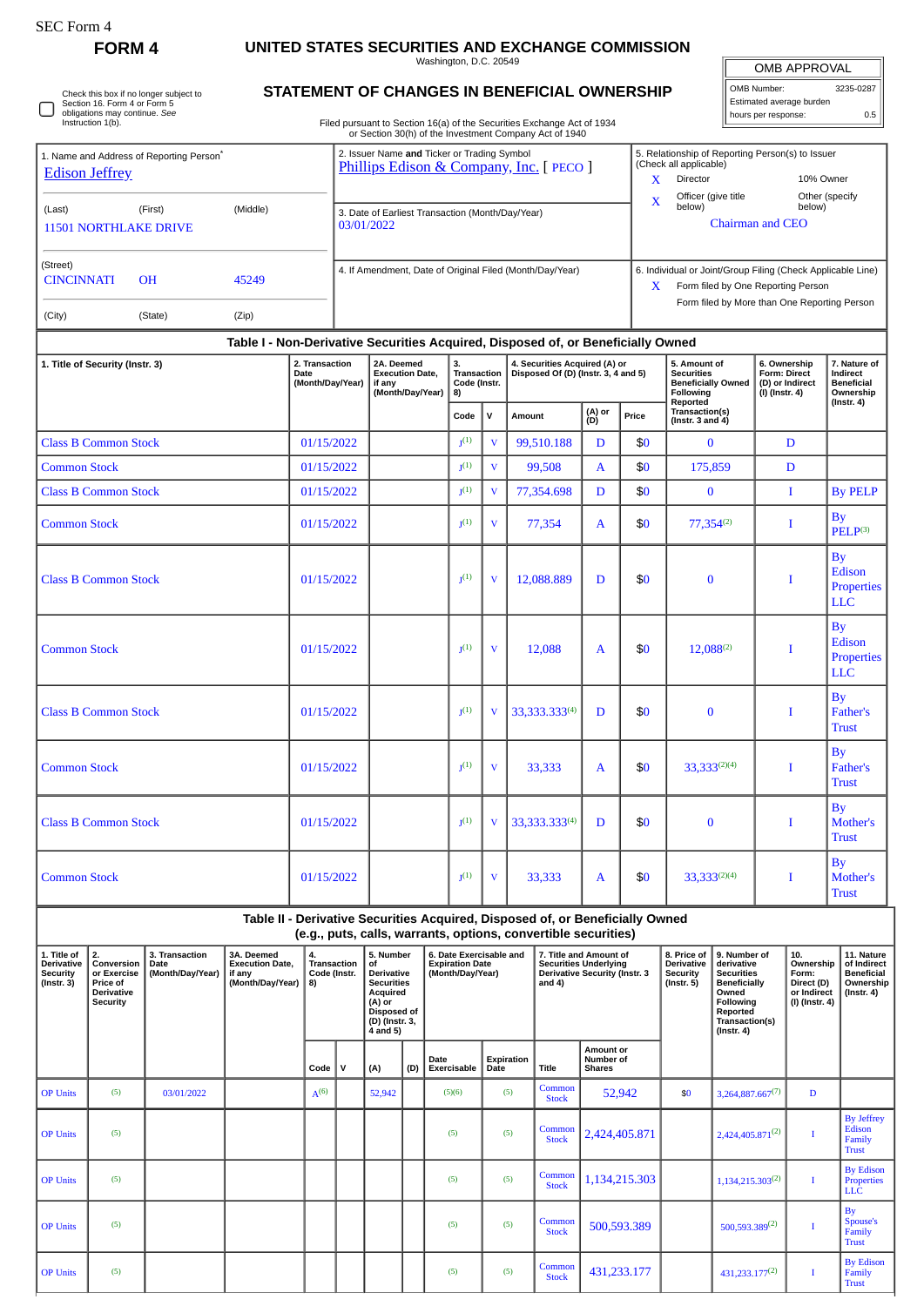## **FORM 4 UNITED STATES SECURITIES AND EXCHANGE COMMISSION**

Washington, D.C. 20549

OMB APPROVAL OMB Number: 3235-0287 Estimated average burden

hours per response: 0.5

| Check this box if no longer subject to<br>Section 16. Form 4 or Form 5<br>obligations may continue. See<br>Instruction 1(b). |
|------------------------------------------------------------------------------------------------------------------------------|
|------------------------------------------------------------------------------------------------------------------------------|

## **STATEMENT OF CHANGES IN BENEFICIAL OWNERSHIP**

Filed pursuant to Section 16(a) of the Securities Exchange Act of 1934 or Section 30(h) of the Investment Company Act of 1940

| 1. Name and Address of Reporting Person <sup>®</sup><br><b>Edison Jeffrey</b>        |                                                     |       |  | 2. Issuer Name and Ticker or Trading Symbol<br>Phillips Edison & Company, Inc. [ PECO ] |                                                                                  |                                                |                | X                                                                    | 5. Relationship of Reporting Person(s) to Issuer<br>(Check all applicable)<br>10% Owner<br>Director |                                                                               |                                                                                                                                                        |                                                                          |                                                            |  |  |  |
|--------------------------------------------------------------------------------------|-----------------------------------------------------|-------|--|-----------------------------------------------------------------------------------------|----------------------------------------------------------------------------------|------------------------------------------------|----------------|----------------------------------------------------------------------|-----------------------------------------------------------------------------------------------------|-------------------------------------------------------------------------------|--------------------------------------------------------------------------------------------------------------------------------------------------------|--------------------------------------------------------------------------|------------------------------------------------------------|--|--|--|
| (Last)                                                                               | (Middle)<br>(First)<br><b>11501 NORTHLAKE DRIVE</b> |       |  |                                                                                         |                                                                                  |                                                |                | 3. Date of Earliest Transaction (Month/Day/Year)                     | X                                                                                                   | Officer (give title<br>Other (specify<br>below)<br>below)<br>Chairman and CEO |                                                                                                                                                        |                                                                          |                                                            |  |  |  |
| (Street)<br><b>CINCINNATI</b>                                                        | <b>OH</b>                                           | 45249 |  | 4. If Amendment, Date of Original Filed (Month/Day/Year)                                |                                                                                  |                                                |                |                                                                      |                                                                                                     |                                                                               | 6. Individual or Joint/Group Filing (Check Applicable Line)<br>Form filed by One Reporting Person<br>X<br>Form filed by More than One Reporting Person |                                                                          |                                                            |  |  |  |
| (City)                                                                               | (State)                                             | (Zip) |  |                                                                                         |                                                                                  |                                                |                |                                                                      |                                                                                                     |                                                                               |                                                                                                                                                        |                                                                          |                                                            |  |  |  |
|                                                                                      |                                                     |       |  |                                                                                         | Table I - Non-Derivative Securities Acquired, Disposed of, or Beneficially Owned |                                                |                |                                                                      |                                                                                                     |                                                                               |                                                                                                                                                        |                                                                          |                                                            |  |  |  |
| 2. Transaction<br>1. Title of Security (Instr. 3)<br><b>Date</b><br>(Month/Day/Year) |                                                     |       |  |                                                                                         | 2A. Deemed<br><b>Execution Date.</b><br>if any<br>(Month/Day/Year)               | 3.<br><b>Transaction</b><br>Code (Instr.<br>8) |                | 4. Securities Acquired (A) or<br>Disposed Of (D) (Instr. 3, 4 and 5) |                                                                                                     |                                                                               | 5. Amount of<br><b>Securities</b><br><b>Beneficially Owned</b><br><b>Following</b>                                                                     | 6. Ownership<br><b>Form: Direct</b><br>(D) or Indirect<br>(I) (Instr. 4) | 7. Nature of<br>Indirect<br><b>Beneficial</b><br>Ownership |  |  |  |
|                                                                                      |                                                     |       |  |                                                                                         |                                                                                  | Code                                           | v              | Amount                                                               | (A) or<br>Price<br>(D)                                                                              |                                                                               | Reported<br>Transaction(s)<br>(Instr. $3$ and $4$ )                                                                                                    |                                                                          | $($ Instr. 4 $)$                                           |  |  |  |
| <b>Class B Common Stock</b><br>01/15/2022                                            |                                                     |       |  |                                                                                         |                                                                                  | I <sub>1</sub> (1)                             | $\overline{V}$ | 99,510.188                                                           | D                                                                                                   | \$0                                                                           | n                                                                                                                                                      | D                                                                        |                                                            |  |  |  |
| <b>Common Stock</b><br>01/15/2022                                                    |                                                     |       |  |                                                                                         |                                                                                  | I <sub>1</sub> (1)                             | v              | 99,508                                                               | A                                                                                                   | \$0                                                                           | 175,859                                                                                                                                                | D                                                                        |                                                            |  |  |  |
| $O(1)$ is $O(1)$ in $O(1)$ in $O(1)$ in $O(1)$<br>01/10000                           |                                                     |       |  |                                                                                         |                                                                                  | $-(1)$                                         |                | 77.254.000                                                           | <sup>n</sup>                                                                                        | ተሰ                                                                            | $\sim$                                                                                                                                                 |                                                                          | $D_{\text{eff}}$ $D_{\text{eff}}$ $D_{\text{eff}}$         |  |  |  |

| <b>Common Stock</b>         | 01/15/2022 | $1(1)$             | V                       | 99,508        | $\mathbf{A}$ | \$0 | 175,859           | D |                                                 |
|-----------------------------|------------|--------------------|-------------------------|---------------|--------------|-----|-------------------|---|-------------------------------------------------|
| <b>Class B Common Stock</b> | 01/15/2022 | $1(1)$             | v                       | 77,354.698    | D            | \$0 | $\bf{0}$          | I | <b>By PELP</b>                                  |
| <b>Common Stock</b>         | 01/15/2022 | $1(1)$             | $\overline{\mathbf{V}}$ | 77,354        | $\mathbf{A}$ | \$0 | $77,354^{(2)}$    | I | <b>By</b><br>PELP <sup>(3)</sup>                |
| <b>Class B Common Stock</b> | 01/15/2022 | $J^{(1)}$          | $\mathbf{V}$            | 12,088.889    | D            | \$0 | $\mathbf{0}$      |   | <b>By</b><br>Edison<br>Properties<br><b>LLC</b> |
| <b>Common Stock</b>         | 01/15/2022 | $J^{(1)}$          | V                       | 12,088        | A            | \$0 | $12,088^{(2)}$    | I | <b>By</b><br>Edison<br>Properties<br><b>LLC</b> |
| <b>Class B Common Stock</b> | 01/15/2022 | $J^{(1)}$          | $\overline{\mathbf{V}}$ | 33,333.333(4) | D            | \$0 | $\bf{0}$          | I | <b>By</b><br><b>Father's</b><br><b>Trust</b>    |
| <b>Common Stock</b>         | 01/15/2022 | $\mathbf{I}^{(1)}$ | $\overline{\mathbf{V}}$ | 33,333        | $\mathbf{A}$ | \$0 | $33,333^{(2)(4)}$ | I | By<br>Father's<br><b>Trust</b>                  |
| <b>Class B Common Stock</b> | 01/15/2022 | $J^{(1)}$          | $\overline{\mathbf{V}}$ | 33,333.333(4) | D            | \$0 | $\Omega$          | I | <b>By</b><br>Mother's<br><b>Trust</b>           |
| <b>Common Stock</b>         | 01/15/2022 | $J^{(1)}$          | $\mathbf{V}$            | 33,333        | A            | \$0 | 33,333(2)(4)      | I | <b>By</b><br>Mother's<br><b>Trust</b>           |

**Table II - Derivative Securities Acquired, Disposed of, or Beneficially Owned (e.g., puts, calls, warrants, options, convertible securities)**

| 1. Title of<br><b>Derivative</b><br>Security<br>$($ Instr. 3 $)$ | 2.<br>Conversion<br>or Exercise<br>Price of<br><b>Derivative</b><br>Security | 3. Transaction<br>Date<br>(Month/Day/Year) | 3A. Deemed<br><b>Execution Date,</b><br>if any<br>(Month/Day/Year) | 4.<br><b>Transaction</b><br>Code (Instr.<br>8) |             | 5. Number<br>l of<br><b>Derivative</b><br><b>Securities</b><br>Acquired<br>(A) or<br>Disposed of<br>(D) (Instr. 3,<br>4 and 5) |     | 6. Date Exercisable and<br><b>Expiration Date</b><br>(Month/Day/Year) |                    | and $4$ )              | 7. Title and Amount of<br><b>Securities Underlying</b><br><b>Derivative Security (Instr. 3</b> | 8. Price of<br><b>Derivative</b><br>Security<br>$($ Instr. 5 $)$ | 9. Number of<br>derivative<br><b>Securities</b><br><b>Beneficially</b><br>Owned<br>Following<br>Reported<br>Transaction(s)<br>$($ Instr. 4 $)$ | 10.<br>Ownership<br>Form:<br>Direct (D)<br>or Indirect<br>$(I)$ (Instr. 4) | 11. Nature<br>of Indirect<br><b>Beneficial</b><br>Ownership<br>$($ Instr. 4 $)$ |
|------------------------------------------------------------------|------------------------------------------------------------------------------|--------------------------------------------|--------------------------------------------------------------------|------------------------------------------------|-------------|--------------------------------------------------------------------------------------------------------------------------------|-----|-----------------------------------------------------------------------|--------------------|------------------------|------------------------------------------------------------------------------------------------|------------------------------------------------------------------|------------------------------------------------------------------------------------------------------------------------------------------------|----------------------------------------------------------------------------|---------------------------------------------------------------------------------|
|                                                                  |                                                                              |                                            |                                                                    | Code                                           | $\mathbf v$ | (A)                                                                                                                            | (D) | Date<br>Exercisable                                                   | Expiration<br>Date | Title                  | Amount or<br>Number of<br><b>Shares</b>                                                        |                                                                  |                                                                                                                                                |                                                                            |                                                                                 |
| <b>OP Units</b>                                                  | (5)                                                                          | 03/01/2022                                 |                                                                    | $A^{(6)}$                                      |             | 52,942                                                                                                                         |     | (5)(6)                                                                | (5)                | Common<br><b>Stock</b> | 52,942                                                                                         | \$0                                                              | $3,264,887.667^{(7)}$                                                                                                                          | D                                                                          |                                                                                 |
| <b>OP Units</b>                                                  | (5)                                                                          |                                            |                                                                    |                                                |             |                                                                                                                                |     | (5)                                                                   | (5)                | Common<br><b>Stock</b> | 2,424,405.871                                                                                  |                                                                  | $2,424,405.871^{(2)}$                                                                                                                          | T                                                                          | <b>By Jeffrey</b><br>Edison<br>Family<br><b>Trust</b>                           |
| <b>OP Units</b>                                                  | (5)                                                                          |                                            |                                                                    |                                                |             |                                                                                                                                |     | (5)                                                                   | (5)                | Common<br><b>Stock</b> | 1,134,215.303                                                                                  |                                                                  | $1,134,215.303^{(2)}$                                                                                                                          |                                                                            | <b>By Edison</b><br><b>Properties</b><br><b>LLC</b>                             |
| <b>OP Units</b>                                                  | (5)                                                                          |                                            |                                                                    |                                                |             |                                                                                                                                |     | (5)                                                                   | (5)                | Common<br><b>Stock</b> | 500,593.389                                                                                    |                                                                  | $500,593.389^{(2)}$                                                                                                                            |                                                                            | By<br>Spouse's<br>Family<br><b>Trust</b>                                        |
| <b>OP Units</b>                                                  | (5)                                                                          |                                            |                                                                    |                                                |             |                                                                                                                                |     | (5)                                                                   | (5)                | Common<br><b>Stock</b> | 431,233.177                                                                                    |                                                                  | $431,233.177^{(2)}$                                                                                                                            |                                                                            | <b>By Edison</b><br>Family<br><b>Trust</b>                                      |